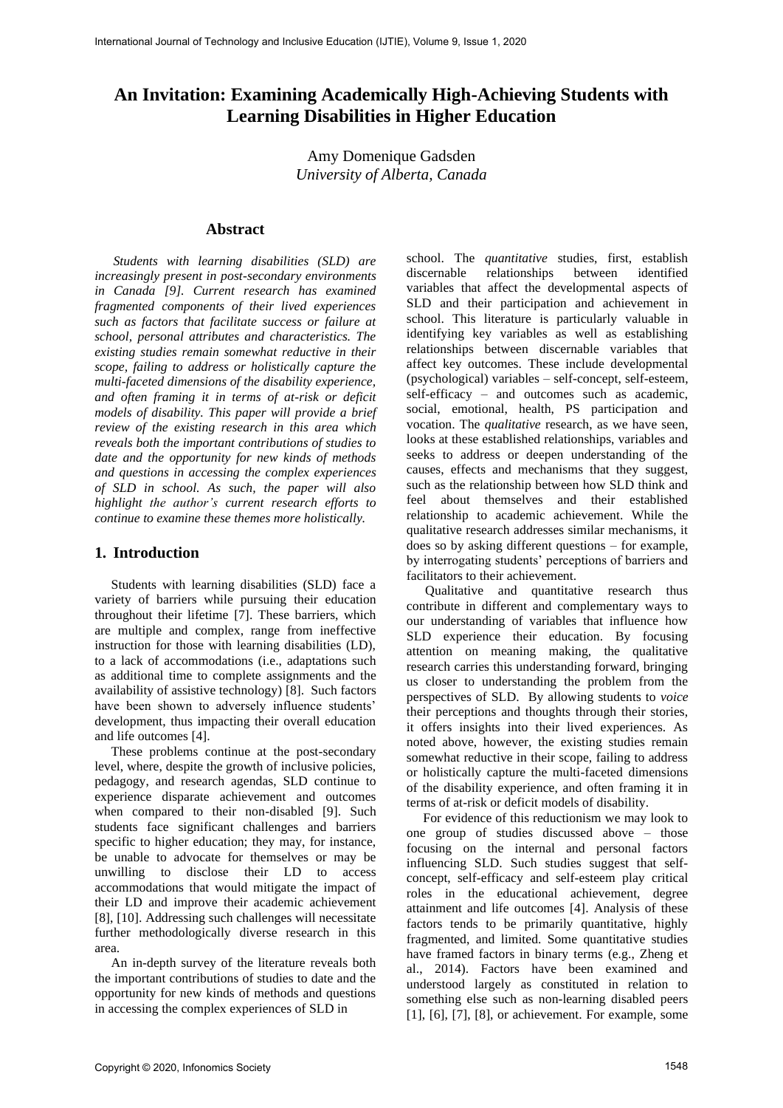# **An Invitation: Examining Academically High-Achieving Students with Learning Disabilities in Higher Education**

Amy Domenique Gadsden *University of Alberta, Canada*

### **Abstract**

*Students with learning disabilities (SLD) are increasingly present in post-secondary environments in Canada [9]. Current research has examined fragmented components of their lived experiences such as factors that facilitate success or failure at school, personal attributes and characteristics. The existing studies remain somewhat reductive in their scope, failing to address or holistically capture the multi-faceted dimensions of the disability experience, and often framing it in terms of at-risk or deficit models of disability. This paper will provide a brief review of the existing research in this area which reveals both the important contributions of studies to date and the opportunity for new kinds of methods and questions in accessing the complex experiences of SLD in school. As such, the paper will also highlight the author's current research efforts to continue to examine these themes more holistically.*

#### **1. Introduction**

 Students with learning disabilities (SLD) face a variety of barriers while pursuing their education throughout their lifetime [7]. These barriers, which are multiple and complex, range from ineffective instruction for those with learning disabilities (LD), to a lack of accommodations (i.e., adaptations such as additional time to complete assignments and the availability of assistive technology) [8]. Such factors have been shown to adversely influence students' development, thus impacting their overall education and life outcomes [4].

 These problems continue at the post-secondary level, where, despite the growth of inclusive policies, pedagogy, and research agendas, SLD continue to experience disparate achievement and outcomes when compared to their non-disabled [9]. Such students face significant challenges and barriers specific to higher education; they may, for instance, be unable to advocate for themselves or may be unwilling to disclose their LD to access accommodations that would mitigate the impact of their LD and improve their academic achievement [8], [10]. Addressing such challenges will necessitate further methodologically diverse research in this area.

 An in-depth survey of the literature reveals both the important contributions of studies to date and the opportunity for new kinds of methods and questions in accessing the complex experiences of SLD in

school. The *quantitative* studies, first, establish discernable relationships between identified variables that affect the developmental aspects of SLD and their participation and achievement in school. This literature is particularly valuable in identifying key variables as well as establishing relationships between discernable variables that affect key outcomes. These include developmental (psychological) variables – self-concept, self-esteem, self-efficacy – and outcomes such as academic, social, emotional, health, PS participation and vocation. The *qualitative* research, as we have seen, looks at these established relationships, variables and seeks to address or deepen understanding of the causes, effects and mechanisms that they suggest, such as the relationship between how SLD think and feel about themselves and their established relationship to academic achievement. While the qualitative research addresses similar mechanisms, it does so by asking different questions – for example, by interrogating students' perceptions of barriers and facilitators to their achievement.

Qualitative and quantitative research thus contribute in different and complementary ways to our understanding of variables that influence how SLD experience their education. By focusing attention on meaning making, the qualitative research carries this understanding forward, bringing us closer to understanding the problem from the perspectives of SLD. By allowing students to *voice* their perceptions and thoughts through their stories, it offers insights into their lived experiences. As noted above, however, the existing studies remain somewhat reductive in their scope, failing to address or holistically capture the multi-faceted dimensions of the disability experience, and often framing it in terms of at-risk or deficit models of disability.

 For evidence of this reductionism we may look to one group of studies discussed above – those focusing on the internal and personal factors influencing SLD. Such studies suggest that selfconcept, self-efficacy and self-esteem play critical roles in the educational achievement, degree attainment and life outcomes [4]. Analysis of these factors tends to be primarily quantitative, highly fragmented, and limited. Some quantitative studies have framed factors in binary terms (e.g., Zheng et al., 2014). Factors have been examined and understood largely as constituted in relation to something else such as non-learning disabled peers [1], [6], [7], [8], or achievement. For example, some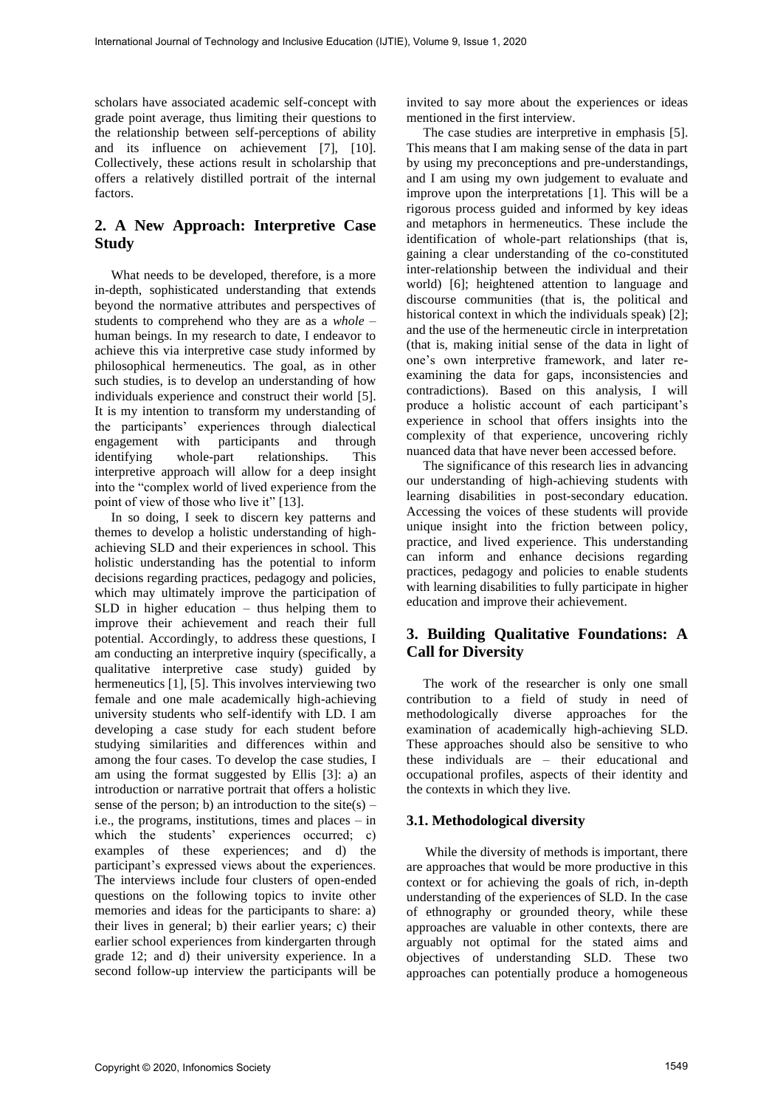scholars have associated academic self-concept with grade point average, thus limiting their questions to the relationship between self-perceptions of ability and its influence on achievement [7], [10]. Collectively, these actions result in scholarship that offers a relatively distilled portrait of the internal factors.

# **2. A New Approach: Interpretive Case Study**

 What needs to be developed, therefore, is a more in-depth, sophisticated understanding that extends beyond the normative attributes and perspectives of students to comprehend who they are as a *whole* – human beings. In my research to date, I endeavor to achieve this via interpretive case study informed by philosophical hermeneutics. The goal, as in other such studies, is to develop an understanding of how individuals experience and construct their world [5]. It is my intention to transform my understanding of the participants' experiences through dialectical engagement with participants and through identifying whole-part relationships. This interpretive approach will allow for a deep insight into the "complex world of lived experience from the point of view of those who live it" [13].

 In so doing, I seek to discern key patterns and themes to develop a holistic understanding of highachieving SLD and their experiences in school. This holistic understanding has the potential to inform decisions regarding practices, pedagogy and policies, which may ultimately improve the participation of SLD in higher education – thus helping them to improve their achievement and reach their full potential. Accordingly, to address these questions, I am conducting an interpretive inquiry (specifically, a qualitative interpretive case study) guided by hermeneutics [1], [5]. This involves interviewing two female and one male academically high-achieving university students who self-identify with LD. I am developing a case study for each student before studying similarities and differences within and among the four cases. To develop the case studies, I am using the format suggested by Ellis [3]: a) an introduction or narrative portrait that offers a holistic sense of the person; b) an introduction to the site(s) – i.e., the programs, institutions, times and places – in which the students' experiences occurred; c) examples of these experiences; and d) the participant's expressed views about the experiences. The interviews include four clusters of open-ended questions on the following topics to invite other memories and ideas for the participants to share: a) their lives in general; b) their earlier years; c) their earlier school experiences from kindergarten through grade 12; and d) their university experience. In a second follow-up interview the participants will be

invited to say more about the experiences or ideas mentioned in the first interview.

 The case studies are interpretive in emphasis [5]. This means that I am making sense of the data in part by using my preconceptions and pre-understandings, and I am using my own judgement to evaluate and improve upon the interpretations [1]. This will be a rigorous process guided and informed by key ideas and metaphors in hermeneutics. These include the identification of whole-part relationships (that is, gaining a clear understanding of the co-constituted inter-relationship between the individual and their world) [6]; heightened attention to language and discourse communities (that is, the political and historical context in which the individuals speak) [2]; and the use of the hermeneutic circle in interpretation (that is, making initial sense of the data in light of one's own interpretive framework, and later reexamining the data for gaps, inconsistencies and contradictions). Based on this analysis, I will produce a holistic account of each participant's experience in school that offers insights into the complexity of that experience, uncovering richly nuanced data that have never been accessed before.

 The significance of this research lies in advancing our understanding of high-achieving students with learning disabilities in post-secondary education. Accessing the voices of these students will provide unique insight into the friction between policy, practice, and lived experience. This understanding can inform and enhance decisions regarding practices, pedagogy and policies to enable students with learning disabilities to fully participate in higher education and improve their achievement.

# **3. Building Qualitative Foundations: A Call for Diversity**

 The work of the researcher is only one small contribution to a field of study in need of methodologically diverse approaches for the examination of academically high-achieving SLD. These approaches should also be sensitive to who these individuals are – their educational and occupational profiles, aspects of their identity and the contexts in which they live.

### **3.1. Methodological diversity**

While the diversity of methods is important, there are approaches that would be more productive in this context or for achieving the goals of rich, in-depth understanding of the experiences of SLD. In the case of ethnography or grounded theory, while these approaches are valuable in other contexts, there are arguably not optimal for the stated aims and objectives of understanding SLD. These two approaches can potentially produce a homogeneous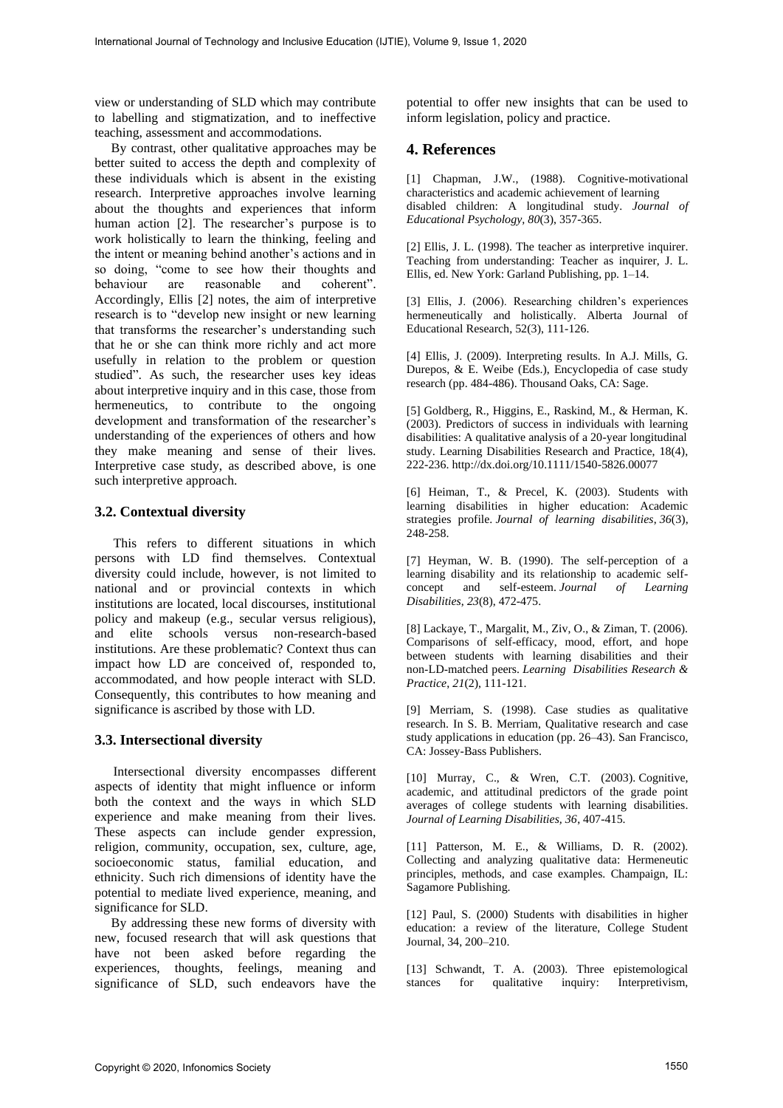view or understanding of SLD which may contribute to labelling and stigmatization, and to ineffective teaching, assessment and accommodations.

 By contrast, other qualitative approaches may be better suited to access the depth and complexity of these individuals which is absent in the existing research. Interpretive approaches involve learning about the thoughts and experiences that inform human action [2]. The researcher's purpose is to work holistically to learn the thinking, feeling and the intent or meaning behind another's actions and in so doing, "come to see how their thoughts and behaviour are reasonable and coherent". Accordingly, Ellis [2] notes, the aim of interpretive research is to "develop new insight or new learning that transforms the researcher's understanding such that he or she can think more richly and act more usefully in relation to the problem or question studied". As such, the researcher uses key ideas about interpretive inquiry and in this case, those from hermeneutics, to contribute to the ongoing development and transformation of the researcher's understanding of the experiences of others and how they make meaning and sense of their lives. Interpretive case study, as described above, is one such interpretive approach.

### **3.2. Contextual diversity**

This refers to different situations in which persons with LD find themselves. Contextual diversity could include, however, is not limited to national and or provincial contexts in which institutions are located, local discourses, institutional policy and makeup (e.g., secular versus religious), and elite schools versus non-research-based institutions. Are these problematic? Context thus can impact how LD are conceived of, responded to, accommodated, and how people interact with SLD. Consequently, this contributes to how meaning and significance is ascribed by those with LD.

### **3.3. Intersectional diversity**

Intersectional diversity encompasses different aspects of identity that might influence or inform both the context and the ways in which SLD experience and make meaning from their lives. These aspects can include gender expression, religion, community, occupation, sex, culture, age, socioeconomic status, familial education, and ethnicity. Such rich dimensions of identity have the potential to mediate lived experience, meaning, and significance for SLD.

 By addressing these new forms of diversity with new, focused research that will ask questions that have not been asked before regarding the experiences, thoughts, feelings, meaning and significance of SLD, such endeavors have the

potential to offer new insights that can be used to inform legislation, policy and practice.

## **4. References**

[1] Chapman, J.W., (1988). Cognitive-motivational characteristics and academic achievement of learning disabled children: A longitudinal study. *Journal of Educational Psychology, 80*(3), 357-365.

[2] Ellis, J. L. (1998). The teacher as interpretive inquirer. Teaching from understanding: Teacher as inquirer, J. L. Ellis, ed. New York: Garland Publishing, pp. 1–14.

[3] Ellis, J. (2006). Researching children's experiences hermeneutically and holistically. Alberta Journal of Educational Research, 52(3), 111-126.

[4] Ellis, J. (2009). Interpreting results. In A.J. Mills, G. Durepos, & E. Weibe (Eds.), Encyclopedia of case study research (pp. 484-486). Thousand Oaks, CA: Sage.

[5] Goldberg, R., Higgins, E., Raskind, M., & Herman, K. (2003). Predictors of success in individuals with learning disabilities: A qualitative analysis of a 20-year longitudinal study. Learning Disabilities Research and Practice, 18(4), 222-236. http://dx.doi.org/10.1111/1540-5826.00077

[6] Heiman, T., & Precel, K. (2003). Students with learning disabilities in higher education: Academic strategies profile. *Journal of learning disabilities*, *36*(3), 248-258.

[7] Heyman, W. B. (1990). The self-perception of a learning disability and its relationship to academic selfconcept and self-esteem. *Journal of Learning Disabilities*, *23*(8), 472-475.

[8] Lackaye, T., Margalit, M., Ziv, O., & Ziman, T. (2006). Comparisons of self‐efficacy, mood, effort, and hope between students with learning disabilities and their non‐LD‐matched peers. *Learning Disabilities Research & Practice*, *21*(2), 111-121.

[9] Merriam, S. (1998). Case studies as qualitative research. In S. B. Merriam, Qualitative research and case study applications in education (pp. 26–43). San Francisco, CA: Jossey-Bass Publishers.

[10] Murray, C., & Wren, C.T. (2003). Cognitive, academic, and attitudinal predictors of the grade point averages of college students with learning disabilities. *Journal of Learning Disabilities, 36*, 407-415.

[11] Patterson, M. E., & Williams, D. R. (2002). Collecting and analyzing qualitative data: Hermeneutic principles, methods, and case examples. Champaign, IL: Sagamore Publishing.

[12] Paul, S. (2000) Students with disabilities in higher education: a review of the literature, College Student Journal, 34, 200–210.

[13] Schwandt, T. A. (2003). Three epistemological stances for qualitative inquiry: Interpretivism,